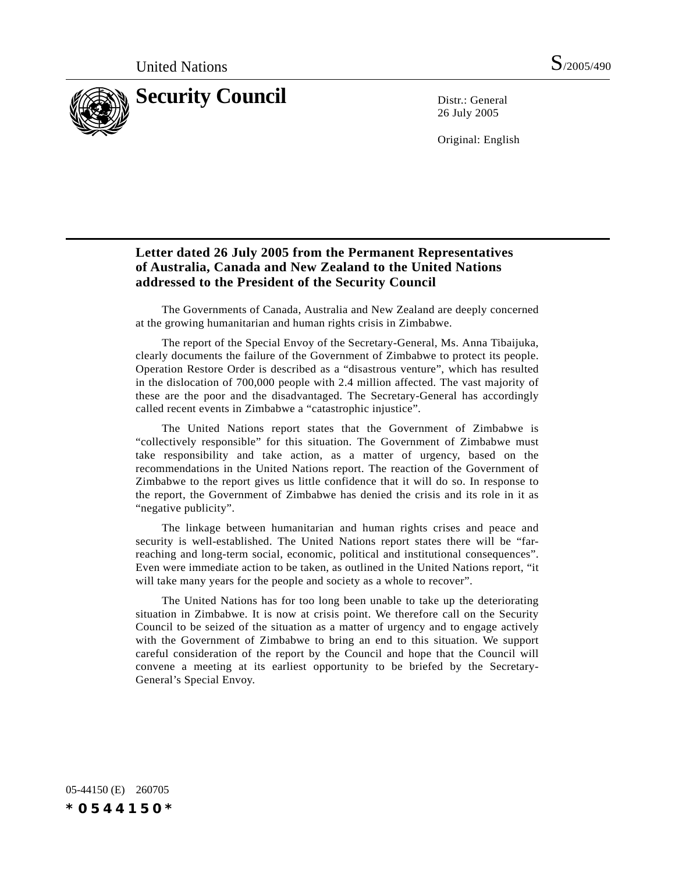

26 July 2005

Original: English

## **Letter dated 26 July 2005 from the Permanent Representatives of Australia, Canada and New Zealand to the United Nations addressed to the President of the Security Council**

The Governments of Canada, Australia and New Zealand are deeply concerned at the growing humanitarian and human rights crisis in Zimbabwe.

The report of the Special Envoy of the Secretary-General, Ms. Anna Tibaijuka, clearly documents the failure of the Government of Zimbabwe to protect its people. Operation Restore Order is described as a "disastrous venture", which has resulted in the dislocation of 700,000 people with 2.4 million affected. The vast majority of these are the poor and the disadvantaged. The Secretary-General has accordingly called recent events in Zimbabwe a "catastrophic injustice".

The United Nations report states that the Government of Zimbabwe is "collectively responsible" for this situation. The Government of Zimbabwe must take responsibility and take action, as a matter of urgency, based on the recommendations in the United Nations report. The reaction of the Government of Zimbabwe to the report gives us little confidence that it will do so. In response to the report, the Government of Zimbabwe has denied the crisis and its role in it as "negative publicity".

The linkage between humanitarian and human rights crises and peace and security is well-established. The United Nations report states there will be "farreaching and long-term social, economic, political and institutional consequences". Even were immediate action to be taken, as outlined in the United Nations report, "it will take many years for the people and society as a whole to recover".

The United Nations has for too long been unable to take up the deteriorating situation in Zimbabwe. It is now at crisis point. We therefore call on the Security Council to be seized of the situation as a matter of urgency and to engage actively with the Government of Zimbabwe to bring an end to this situation. We support careful consideration of the report by the Council and hope that the Council will convene a meeting at its earliest opportunity to be briefed by the Secretary-General's Special Envoy.

05-44150 (E) 260705 *\*0544150\**